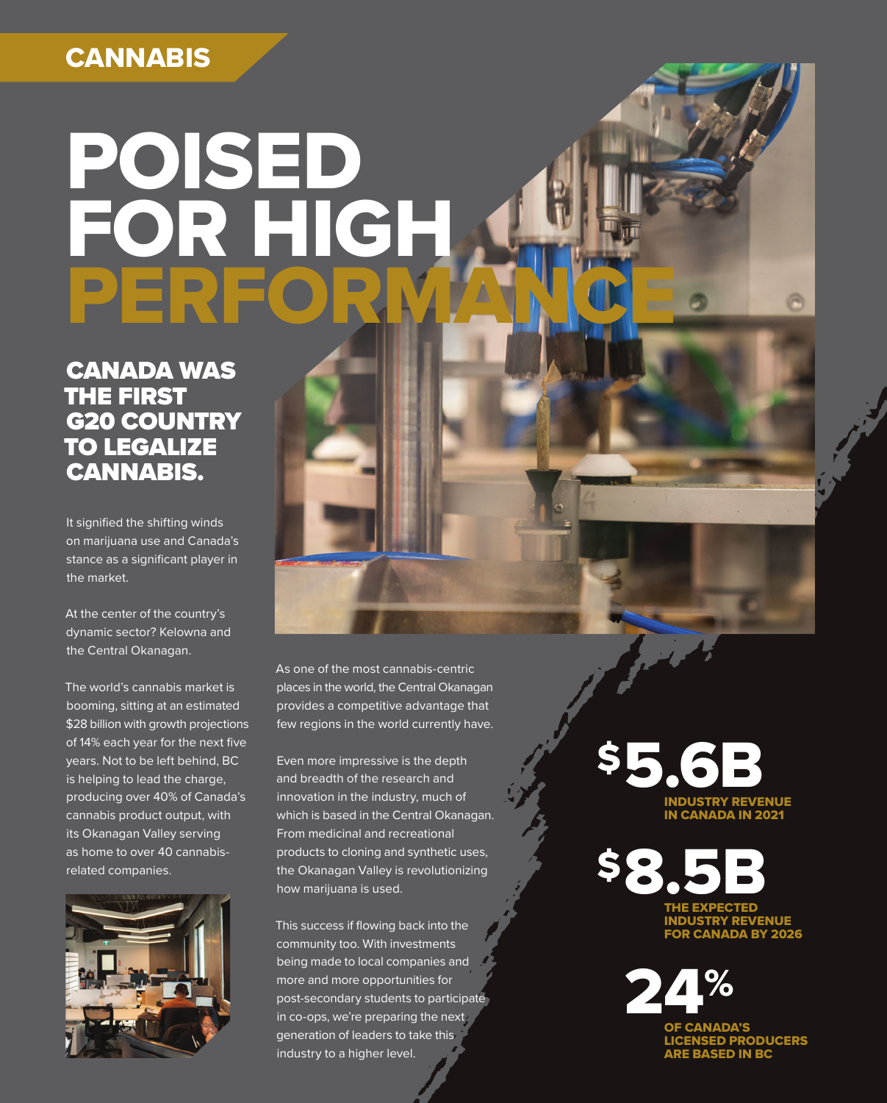### **CANNABIS**

# POISED FOR HIGH PERFORMANCE

CANADA WAS THE FIRST G20 COUNTRY TO LEGALIZE CANNABIS.

It signified the shifting winds on marijuana use and Canada's stance as a significant player in the market.

At the center of the country's dynamic sector? Kelowna and the Central Okanagan.

The world's cannabis market is booming, sitting at an estimated \$28 billion with growth projections of 14% each year for the next five years. Not to be left behind, BC is helping to lead the charge, producing over 40% of Canada's cannabis product output, with its Okanagan Valley serving as home to over 40 cannabisrelated companies.



As one of the most cannabis-centric places in the world, the Central Okanagan provides a competitive advantage that few regions in the world currently have.

Even more impressive is the depth and breadth of the research and innovation in the industry, much of which is based in the Central Okanagan. From medicinal and recreational products to cloning and synthetic uses, the Okanagan Valley is revolutionizing how marijuana is used.

This success if flowing back into the community too. With investments being made to local companies and more and more opportunities for post-secondary students to participate in co-ops, we're preparing the next generation of leaders to take this industry to a higher level.

INDUSTRY REVENUE IN CANADA IN 2021 \$5.6B

**E EXPECTED** INDUSTRY REVENUE **\$8.5B** 

> OF CANADA'S 1%

LICENSED PRODUCERS ARE BASED IN BC

FOR CANADA BY 2026